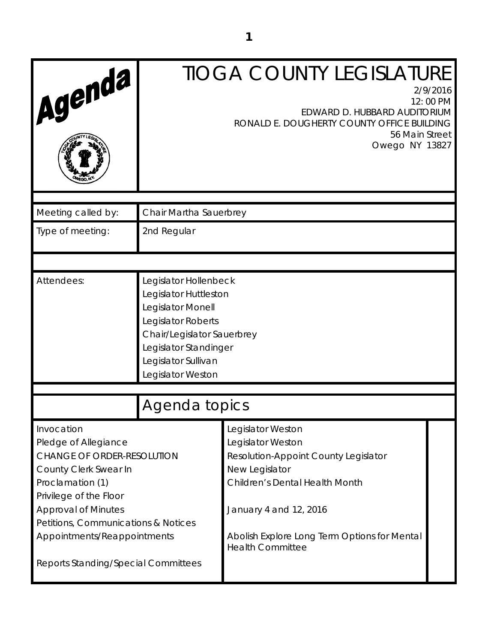| Agenda                                                                                                                                                                                                                                                                                    | <b>TIOGA COUNTY LEGISLATURE</b><br>2/9/2016<br>12:00 PM<br>EDWARD D. HUBBARD AUDITORIUM<br>RONALD E. DOUGHERTY COUNTY OFFICE BUILDING<br>56 Main Street<br>Owego NY 13827                    |                                                                                                                                                                                                                                         |  |
|-------------------------------------------------------------------------------------------------------------------------------------------------------------------------------------------------------------------------------------------------------------------------------------------|----------------------------------------------------------------------------------------------------------------------------------------------------------------------------------------------|-----------------------------------------------------------------------------------------------------------------------------------------------------------------------------------------------------------------------------------------|--|
| Meeting called by:                                                                                                                                                                                                                                                                        | Chair Martha Sauerbrey                                                                                                                                                                       |                                                                                                                                                                                                                                         |  |
| Type of meeting:                                                                                                                                                                                                                                                                          | 2nd Regular                                                                                                                                                                                  |                                                                                                                                                                                                                                         |  |
|                                                                                                                                                                                                                                                                                           |                                                                                                                                                                                              |                                                                                                                                                                                                                                         |  |
| Attendees:                                                                                                                                                                                                                                                                                | Legislator Hollenbeck<br>Legislator Huttleston<br>Legislator Monell<br>Legislator Roberts<br>Chair/Legislator Sauerbrey<br>Legislator Standinger<br>Legislator Sullivan<br>Legislator Weston |                                                                                                                                                                                                                                         |  |
|                                                                                                                                                                                                                                                                                           | Agenda topics                                                                                                                                                                                |                                                                                                                                                                                                                                         |  |
| Invocation<br>Pledge of Allegiance<br><b>CHANGE OF ORDER-RESOLUTION</b><br>County Clerk Swear In<br>Proclamation (1)<br>Privilege of the Floor<br><b>Approval of Minutes</b><br>Petitions, Communications & Notices<br>Appointments/Reappointments<br>Reports Standing/Special Committees |                                                                                                                                                                                              | Legislator Weston<br>Legislator Weston<br>Resolution-Appoint County Legislator<br>New Legislator<br>Children's Dental Health Month<br>January 4 and 12, 2016<br>Abolish Explore Long Term Options for Mental<br><b>Health Committee</b> |  |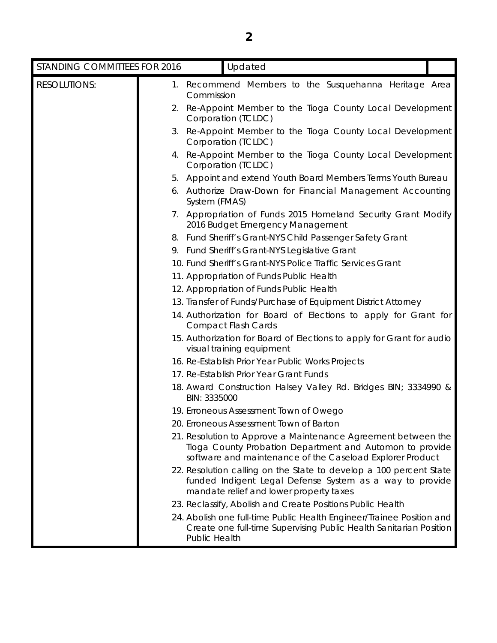| STANDING COMMITTEES FOR 2016 | Updated                                                                                                                                                                                |
|------------------------------|----------------------------------------------------------------------------------------------------------------------------------------------------------------------------------------|
| <b>RESOLUTIONS:</b>          | 1. Recommend Members to the Susquehanna Heritage Area<br>Commission                                                                                                                    |
|                              | 2. Re-Appoint Member to the Tioga County Local Development<br>Corporation (TCLDC)                                                                                                      |
|                              | 3. Re-Appoint Member to the Tioga County Local Development<br>Corporation (TCLDC)                                                                                                      |
|                              | 4. Re-Appoint Member to the Tioga County Local Development<br>Corporation (TCLDC)                                                                                                      |
|                              | 5. Appoint and extend Youth Board Members Terms Youth Bureau                                                                                                                           |
|                              | 6. Authorize Draw-Down for Financial Management Accounting<br>System (FMAS)                                                                                                            |
|                              | 7. Appropriation of Funds 2015 Homeland Security Grant Modify<br>2016 Budget Emergency Management                                                                                      |
|                              | 8. Fund Sheriff's Grant-NYS Child Passenger Safety Grant                                                                                                                               |
|                              | 9. Fund Sheriff's Grant-NYS Legislative Grant                                                                                                                                          |
|                              | 10. Fund Sheriff's Grant-NYS Police Traffic Services Grant                                                                                                                             |
|                              | 11. Appropriation of Funds Public Health                                                                                                                                               |
|                              | 12. Appropriation of Funds Public Health                                                                                                                                               |
|                              | 13. Transfer of Funds/Purchase of Equipment District Attorney                                                                                                                          |
|                              | 14. Authorization for Board of Elections to apply for Grant for<br><b>Compact Flash Cards</b>                                                                                          |
|                              | 15. Authorization for Board of Elections to apply for Grant for audio<br>visual training equipment                                                                                     |
|                              | 16. Re-Establish Prior Year Public Works Projects                                                                                                                                      |
|                              | 17. Re-Establish Prior Year Grant Funds                                                                                                                                                |
|                              | 18. Award Construction Halsey Valley Rd. Bridges BIN; 3334990 &<br>BIN: 3335000                                                                                                        |
|                              | 19. Erroneous Assessment Town of Owego                                                                                                                                                 |
|                              | 20. Erroneous Assessment Town of Barton                                                                                                                                                |
|                              | 21. Resolution to Approve a Maintenance Agreement between the<br>Tioga County Probation Department and Automon to provide<br>software and maintenance of the Caseload Explorer Product |
|                              | 22. Resolution calling on the State to develop a 100 percent State<br>funded Indigent Legal Defense System as a way to provide<br>mandate relief and lower property taxes              |
|                              | 23. Reclassify, Abolish and Create Positions Public Health                                                                                                                             |
|                              | 24. Abolish ans full time Dublie Health Engineer/Troinee Desition and                                                                                                                  |

24. Abolish one full-time Public Health Engineer/Trainee Position and Create one full-time Supervising Public Health Sanitarian Position Public Health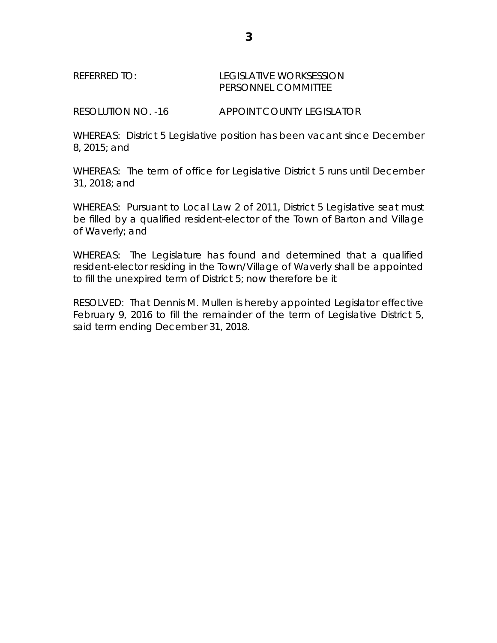## REFERRED TO: LEGISLATIVE WORKSESSION PERSONNEL COMMITTEE

RESOLUTION NO. -16 APPOINT COUNTY LEGISLATOR

WHEREAS: District 5 Legislative position has been vacant since December 8, 2015; and

WHEREAS: The term of office for Legislative District 5 runs until December 31, 2018; and

WHEREAS: Pursuant to Local Law 2 of 2011, District 5 Legislative seat must be filled by a qualified resident-elector of the Town of Barton and Village of Waverly; and

WHEREAS: The Legislature has found and determined that a qualified resident-elector residing in the Town/Village of Waverly shall be appointed to fill the unexpired term of District 5; now therefore be it

RESOLVED: That Dennis M. Mullen is hereby appointed Legislator effective February 9, 2016 to fill the remainder of the term of Legislative District 5, said term ending December 31, 2018.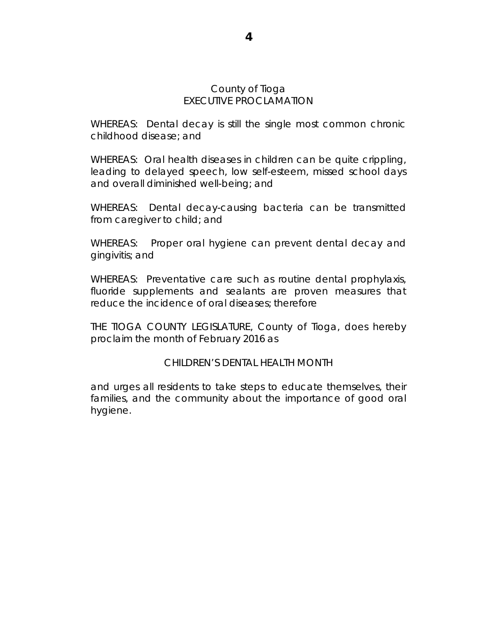#### County of Tioga EXECUTIVE PROCLAMATION

WHEREAS: Dental decay is still the single most common chronic childhood disease; and

WHEREAS: Oral health diseases in children can be quite crippling, leading to delayed speech, low self-esteem, missed school days and overall diminished well-being; and

WHEREAS: Dental decay-causing bacteria can be transmitted from caregiver to child; and

WHEREAS: Proper oral hygiene can prevent dental decay and gingivitis; and

WHEREAS: Preventative care such as routine dental prophylaxis, fluoride supplements and sealants are proven measures that reduce the incidence of oral diseases; therefore

THE TIOGA COUNTY LEGISLATURE, County of Tioga, does hereby proclaim the month of February 2016 as

## CHILDREN'S DENTAL HEALTH MONTH

and urges all residents to take steps to educate themselves, their families, and the community about the importance of good oral hygiene.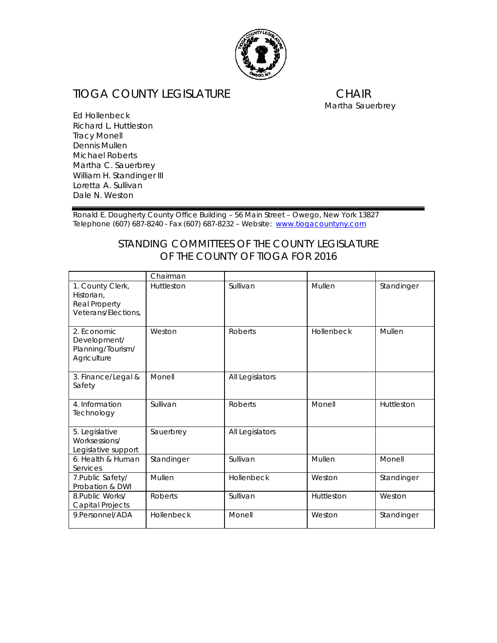

# TIOGA COUNTY LEGISLATURE CHAIR<br>
Martha Sauerbrey

Ed Hollenbeck Richard L. Huttleston Tracy Monell Dennis Mullen Michael Roberts Martha C. Sauerbrey William H. Standinger III Loretta A. Sullivan Dale N. Weston

Ronald E. Dougherty County Office Building – 56 Main Street – Owego, New York 13827 Telephone (607) 687-8240 - Fax (607) 687-8232 – Website: [www.tiogacountyny.com](http://www.tiogacountyny.com/)

## *STANDING COMMITTEES OF THE COUNTY LEGISLATURE OF THE COUNTY OF TIOGA FOR 2016*

|                                                                        | Chairman       |                 |            |            |
|------------------------------------------------------------------------|----------------|-----------------|------------|------------|
| 1. County Clerk,<br>Historian.<br>Real Property<br>Veterans/Elections, | Huttleston     | Sullivan        | Mullen     | Standinger |
| 2. Economic<br>Development/<br>Planning/Tourism/<br>Agriculture        | Weston         | <b>Roberts</b>  | Hollenbeck | Mullen     |
| 3. Finance/Legal &<br>Safety                                           | Monell         | All Legislators |            |            |
| 4. Information<br>Technology                                           | Sullivan       | <b>Roberts</b>  | Monell     | Huttleston |
| 5. Legislative<br>Worksessions/<br>Legislative support                 | Sauerbrey      | All Legislators |            |            |
| 6. Health & Human<br>Services                                          | Standinger     | Sullivan        | Mullen     | Monell     |
| 7. Public Safety/<br>Probation & DWI                                   | Mullen         | Hollenbeck      | Weston     | Standinger |
| 8. Public Works/<br>Capital Projects                                   | <b>Roberts</b> | Sullivan        | Huttleston | Weston     |
| 9.Personnel/ADA                                                        | Hollenbeck     | Monell          | Weston     | Standinger |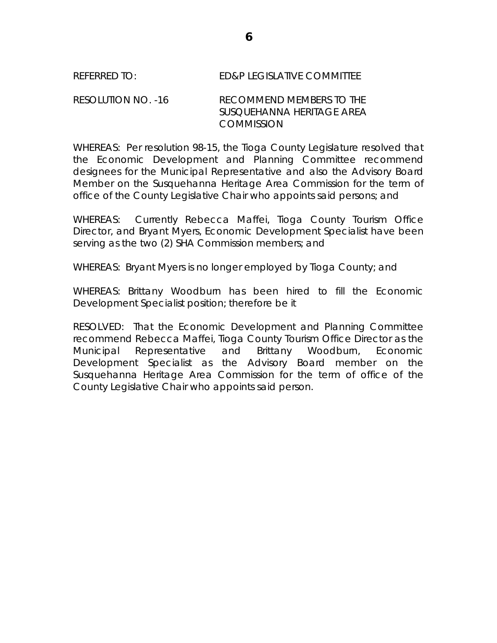## REFERRED TO: ED&P LEGISLATIVE COMMITTEE

### RESOLUTION NO. -16 RECOMMEND MEMBERS TO THE SUSQUEHANNA HERITAGE AREA **COMMISSION**

WHEREAS: Per resolution 98-15, the Tioga County Legislature resolved that the Economic Development and Planning Committee recommend designees for the Municipal Representative and also the Advisory Board Member on the Susquehanna Heritage Area Commission for the term of office of the County Legislative Chair who appoints said persons; and

WHEREAS: Currently Rebecca Maffei, Tioga County Tourism Office Director, and Bryant Myers, Economic Development Specialist have been serving as the two (2) SHA Commission members; and

WHEREAS: Bryant Myers is no longer employed by Tioga County; and

WHEREAS: Brittany Woodburn has been hired to fill the Economic Development Specialist position; therefore be it

RESOLVED: That the Economic Development and Planning Committee recommend Rebecca Maffei, Tioga County Tourism Office Director as the Municipal Representative and Brittany Woodburn, Economic Development Specialist as the Advisory Board member on the Susquehanna Heritage Area Commission for the term of office of the County Legislative Chair who appoints said person.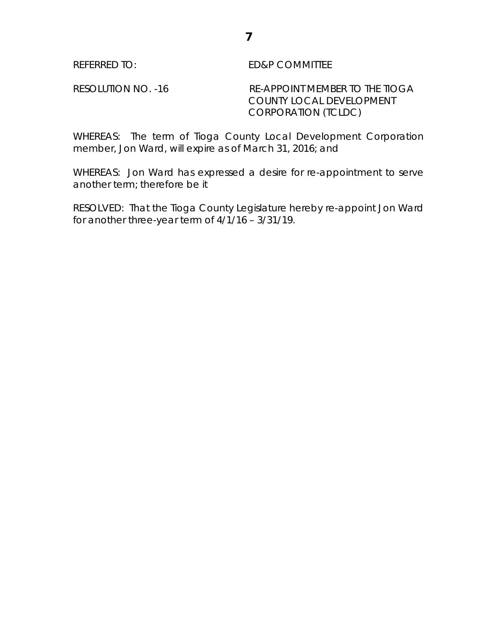REFERRED TO: ED&P COMMITTEE

RESOLUTION NO. -16 RE-APPOINT MEMBER TO THE TIOGA COUNTY LOCAL DEVELOPMENT CORPORATION (TCLDC)

WHEREAS: The term of Tioga County Local Development Corporation member, Jon Ward, will expire as of March 31, 2016; and

WHEREAS: Jon Ward has expressed a desire for re-appointment to serve another term; therefore be it

RESOLVED: That the Tioga County Legislature hereby re-appoint Jon Ward for another three-year term of 4/1/16 – 3/31/19.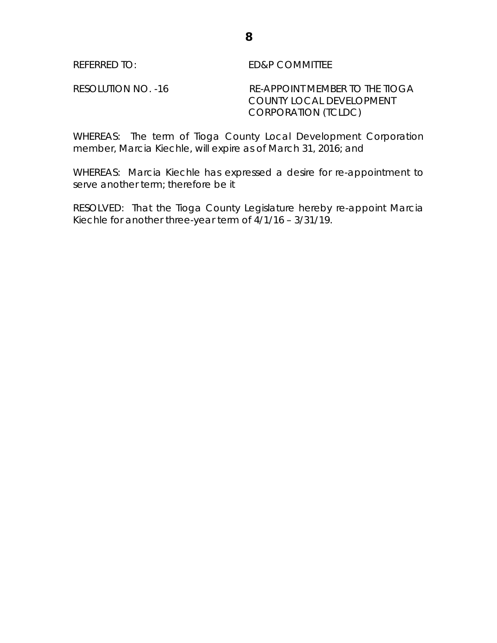REFERRED TO: ED&P COMMITTEE

RESOLUTION NO. -16 RE-APPOINT MEMBER TO THE TIOGA COUNTY LOCAL DEVELOPMENT CORPORATION (TCLDC)

WHEREAS: The term of Tioga County Local Development Corporation member, Marcia Kiechle, will expire as of March 31, 2016; and

WHEREAS: Marcia Kiechle has expressed a desire for re-appointment to serve another term; therefore be it

RESOLVED: That the Tioga County Legislature hereby re-appoint Marcia Kiechle for another three-year term of 4/1/16 – 3/31/19.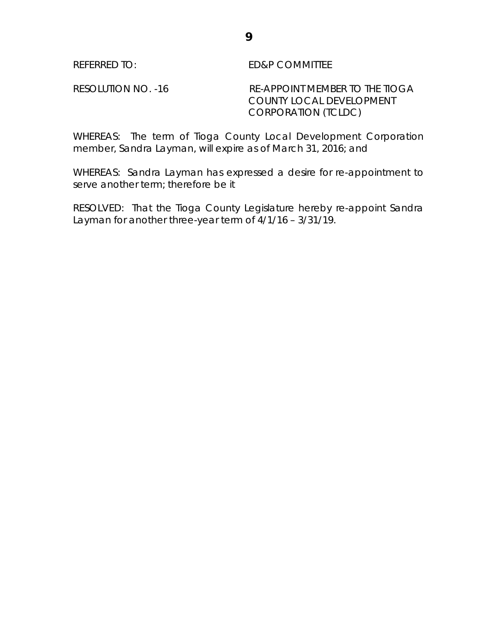REFERRED TO: ED&P COMMITTEE

RESOLUTION NO. -16 RE-APPOINT MEMBER TO THE TIOGA COUNTY LOCAL DEVELOPMENT CORPORATION (TCLDC)

WHEREAS: The term of Tioga County Local Development Corporation member, Sandra Layman, will expire as of March 31, 2016; and

WHEREAS: Sandra Layman has expressed a desire for re-appointment to serve another term; therefore be it

RESOLVED: That the Tioga County Legislature hereby re-appoint Sandra Layman for another three-year term of 4/1/16 – 3/31/19.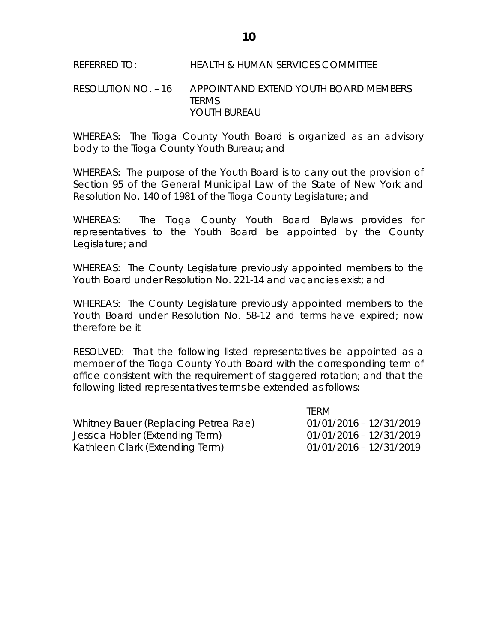## REFERRED TO: HEALTH & HUMAN SERVICES COMMITTEE

### RESOLUTION NO. – 16 APPOINT AND EXTEND YOUTH BOARD MEMBERS **TERMS** YOUTH BUREAU

WHEREAS: The Tioga County Youth Board is organized as an advisory body to the Tioga County Youth Bureau; and

WHEREAS: The purpose of the Youth Board is to carry out the provision of Section 95 of the General Municipal Law of the State of New York and Resolution No. 140 of 1981 of the Tioga County Legislature; and

WHEREAS: The Tioga County Youth Board Bylaws provides for representatives to the Youth Board be appointed by the County Legislature; and

WHEREAS: The County Legislature previously appointed members to the Youth Board under Resolution No. 221-14 and vacancies exist; and

WHEREAS: The County Legislature previously appointed members to the Youth Board under Resolution No. 58-12 and terms have expired; now therefore be it

RESOLVED: That the following listed representatives be appointed as a member of the Tioga County Youth Board with the corresponding term of office consistent with the requirement of staggered rotation; and that the following listed representatives terms be extended as follows:

|                                      | <b>ILKIVI</b>             |
|--------------------------------------|---------------------------|
| Whitney Bauer (Replacing Petrea Rae) | $01/01/2016 - 12/31/2019$ |
| Jessica Hobler (Extending Term)      | $01/01/2016 - 12/31/2019$ |
| Kathleen Clark (Extending Term)      | $01/01/2016 - 12/31/2019$ |

TERM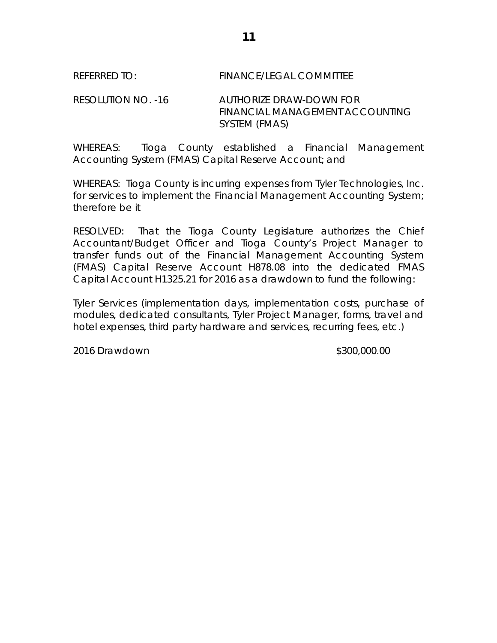## REFERRED TO: FINANCE/LEGAL COMMITTEE

RESOLUTION NO. -16 AUTHORIZE DRAW-DOWN FOR FINANCIAL MANAGEMENT ACCOUNTING SYSTEM (FMAS)

WHEREAS: Tioga County established a Financial Management Accounting System (FMAS) Capital Reserve Account; and

WHEREAS: Tioga County is incurring expenses from Tyler Technologies, Inc. for services to implement the Financial Management Accounting System; therefore be it

RESOLVED: That the Tioga County Legislature authorizes the Chief Accountant/Budget Officer and Tioga County's Project Manager to transfer funds out of the Financial Management Accounting System (FMAS) Capital Reserve Account H878.08 into the dedicated FMAS Capital Account H1325.21 for 2016 as a drawdown to fund the following:

Tyler Services (implementation days, implementation costs, purchase of modules, dedicated consultants, Tyler Project Manager, forms, travel and hotel expenses, third party hardware and services, recurring fees, etc.)

2016 Drawdown \$300,000.00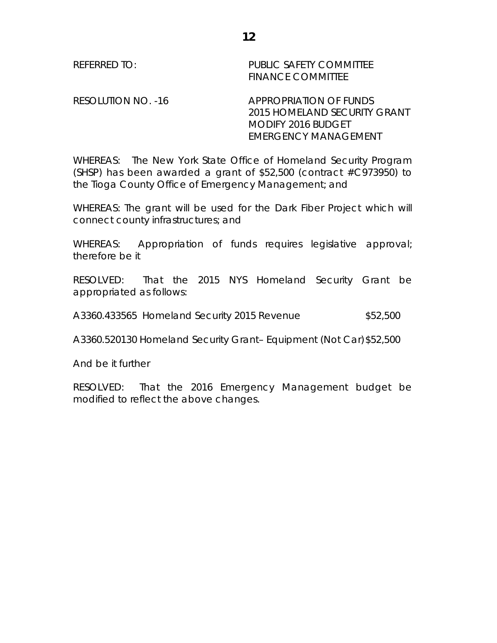REFERRED TO: The PUBLIC SAFETY COMMITTEE FINANCE COMMITTEE

RESOLUTION NO. -16 APPROPRIATION OF FUNDS 2015 HOMELAND SECURITY GRANT MODIFY 2016 BUDGET EMERGENCY MANAGEMENT

WHEREAS: The New York State Office of Homeland Security Program (SHSP) has been awarded a grant of  $$52,500$  (contract  $\#C973950$ ) to the Tioga County Office of Emergency Management; and

WHEREAS: The grant will be used for the Dark Fiber Project which will connect county infrastructures; and

WHEREAS: Appropriation of funds requires legislative approval; therefore be it

RESOLVED: That the 2015 NYS Homeland Security Grant be appropriated as follows:

A3360.433565 Homeland Security 2015 Revenue \$52,500

A3360.520130 Homeland Security Grant– Equipment (Not Car)\$52,500

And be it further

RESOLVED: That the 2016 Emergency Management budget be modified to reflect the above changes.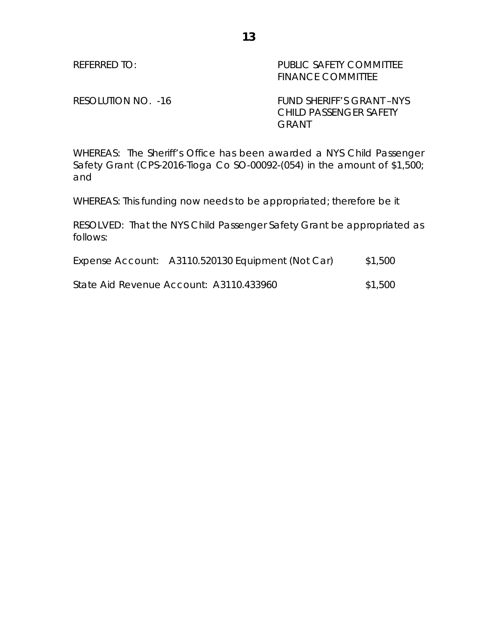REFERRED TO: PUBLIC SAFETY COMMITTEE FINANCE COMMITTEE

RESOLUTION NO. -16 FUND SHERIFF'S GRANT -NYS CHILD PASSENGER SAFETY GRANT

WHEREAS: The Sheriff's Office has been awarded a NYS Child Passenger Safety Grant (CPS-2016-Tioga Co SO-00092-(054) in the amount of \$1,500; and

WHEREAS: This funding now needs to be appropriated; therefore be it

RESOLVED: That the NYS Child Passenger Safety Grant be appropriated as follows:

| Expense Account: A3110.520130 Equipment (Not Car) | \$1,500 |
|---------------------------------------------------|---------|
|                                                   |         |

State Aid Revenue Account: A3110.433960 \$1,500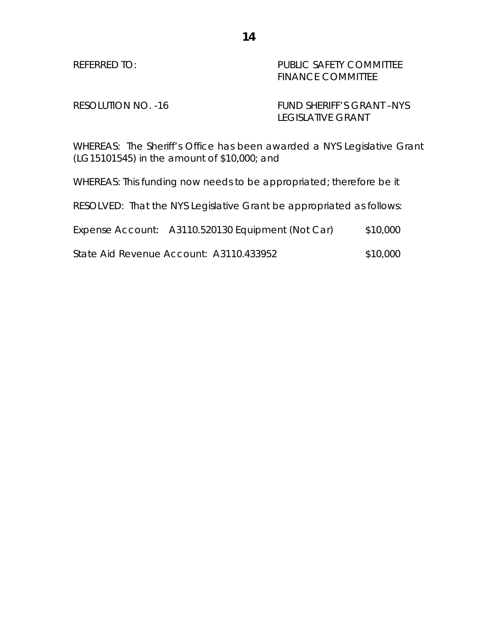REFERRED TO: PUBLIC SAFETY COMMITTEE FINANCE COMMITTEE

RESOLUTION NO. -16 FUND SHERIFF'S GRANT -NYS LEGISLATIVE GRANT

WHEREAS: The Sheriff's Office has been awarded a NYS Legislative Grant (LG15101545) in the amount of \$10,000; and

WHEREAS: This funding now needs to be appropriated; therefore be it

RESOLVED: That the NYS Legislative Grant be appropriated as follows:

| Expense Account: A3110.520130 Equipment (Not Car) | \$10,000 |
|---------------------------------------------------|----------|
|                                                   |          |

State Aid Revenue Account: A3110.433952 \$10,000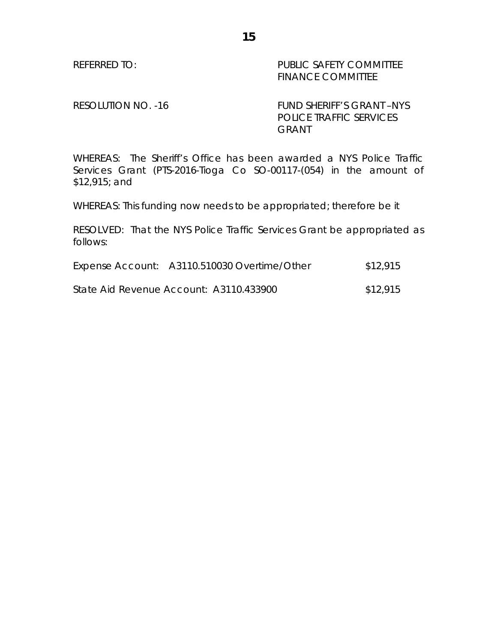REFERRED TO: PUBLIC SAFETY COMMITTEE FINANCE COMMITTEE

RESOLUTION NO. -16 FUND SHERIFF'S GRANT -NYS POLICE TRAFFIC SERVICES GRANT

WHEREAS: The Sheriff's Office has been awarded a NYS Police Traffic Services Grant (PTS-2016-Tioga Co SO-00117-(054) in the amount of \$12,915; and

**15**

WHEREAS: This funding now needs to be appropriated; therefore be it

RESOLVED: That the NYS Police Traffic Services Grant be appropriated as follows:

| Expense Account: A3110.510030 Overtime/Other | \$12,915 |
|----------------------------------------------|----------|
|                                              |          |

State Aid Revenue Account: A3110.433900 \$12,915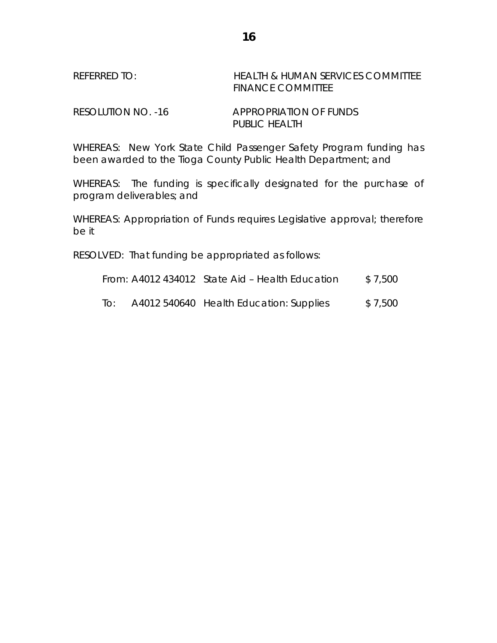## REFERRED TO: HEALTH & HUMAN SERVICES COMMITTEE FINANCE COMMITTEE

RESOLUTION NO. -16 APPROPRIATION OF FUNDS PUBLIC HEALTH

WHEREAS: New York State Child Passenger Safety Program funding has been awarded to the Tioga County Public Health Department; and

WHEREAS: The funding is specifically designated for the purchase of program deliverables; and

WHEREAS: Appropriation of Funds requires Legislative approval; therefore be it

RESOLVED: That funding be appropriated as follows:

From:  $A4012$  434012 State Aid – Health Education  $$7,500$ 

To: A4012 540640 Health Education: Supplies \$ 7,500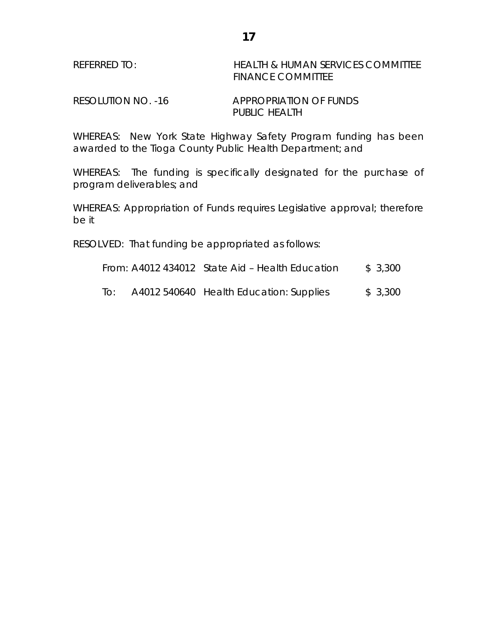| REFERRED TO: | <b>HEALTH &amp; HUMAN SERVICES COMMITTEE</b> |
|--------------|----------------------------------------------|
|              | <b>FINANCE COMMITTEE</b>                     |

RESOLUTION NO. -16 APPROPRIATION OF FUNDS PUBLIC HEALTH

WHEREAS: New York State Highway Safety Program funding has been awarded to the Tioga County Public Health Department; and

WHEREAS: The funding is specifically designated for the purchase of program deliverables; and

WHEREAS: Appropriation of Funds requires Legislative approval; therefore be it

RESOLVED: That funding be appropriated as follows:

| From: A4012 434012 State Aid – Health Education | \$3,300 |
|-------------------------------------------------|---------|
|-------------------------------------------------|---------|

To:  $A4012\,540640$  Health Education: Supplies  $$3,300$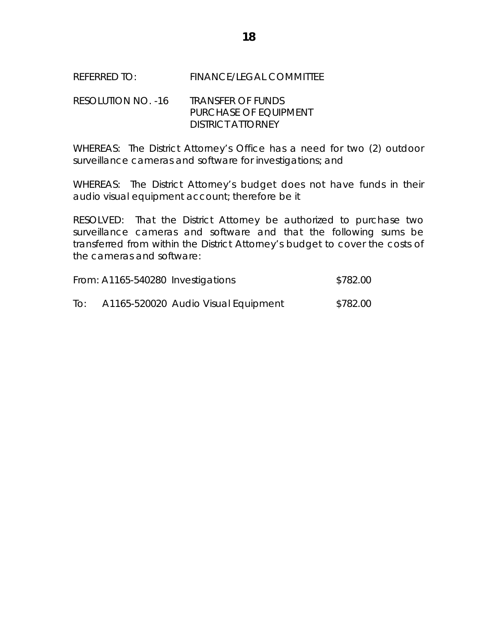## REFERRED TO: FINANCE/LEGAL COMMITTEE

## RESOLUTION NO. -16 TRANSFER OF FUNDS PURCHASE OF EQUIPMENT DISTRICT ATTORNEY

WHEREAS: The District Attorney's Office has a need for two (2) outdoor surveillance cameras and software for investigations; and

WHEREAS: The District Attorney's budget does not have funds in their audio visual equipment account; therefore be it

RESOLVED: That the District Attorney be authorized to purchase two surveillance cameras and software and that the following sums be transferred from within the District Attorney's budget to cover the costs of the cameras and software:

|     | From: A1165-540280 Investigations   | \$782.00 |
|-----|-------------------------------------|----------|
| To: | A1165-520020 Audio Visual Equipment | \$782.00 |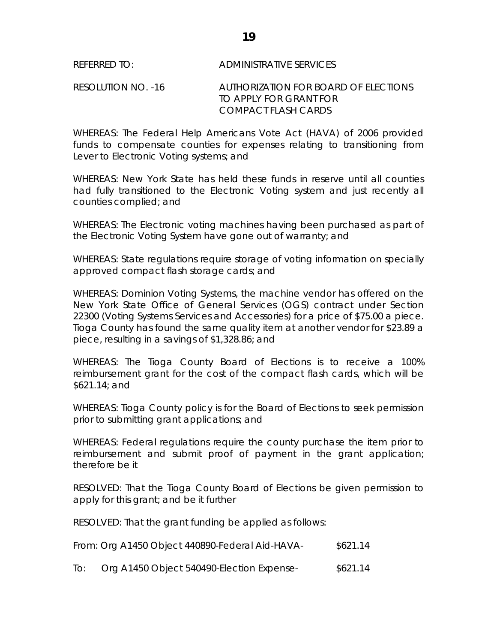## REFERRED TO: ADMINISTRATIVE SERVICES

### RESOLUTION NO. -16 AUTHORIZATION FOR BOARD OF ELECTIONS TO APPLY FOR GRANT FOR COMPACT FLASH CARDS

WHEREAS: The Federal Help Americans Vote Act (HAVA) of 2006 provided funds to compensate counties for expenses relating to transitioning from Lever to Electronic Voting systems; and

WHEREAS: New York State has held these funds in reserve until all counties had fully transitioned to the Electronic Voting system and just recently all counties complied; and

WHEREAS: The Electronic voting machines having been purchased as part of the Electronic Voting System have gone out of warranty; and

WHEREAS: State regulations require storage of voting information on specially approved compact flash storage cards; and

WHEREAS: Dominion Voting Systems, the machine vendor has offered on the New York State Office of General Services (OGS) contract under Section 22300 (Voting Systems Services and Accessories) for a price of \$75.00 a piece. Tioga County has found the same quality item at another vendor for \$23.89 a piece, resulting in a savings of \$1,328.86; and

WHEREAS: The Tioga County Board of Elections is to receive a 100% reimbursement grant for the cost of the compact flash cards, which will be \$621.14; and

WHEREAS: Tioga County policy is for the Board of Elections to seek permission prior to submitting grant applications; and

WHEREAS: Federal regulations require the county purchase the item prior to reimbursement and submit proof of payment in the grant application; therefore be it

RESOLVED: That the Tioga County Board of Elections be given permission to apply for this grant; and be it further

RESOLVED: That the grant funding be applied as follows:

| From: Org A1450 Object 440890-Federal Aid-HAVA- | \$621.14 |
|-------------------------------------------------|----------|
|                                                 |          |

To: Org A1450 Object 540490-Election Expense- \$621.14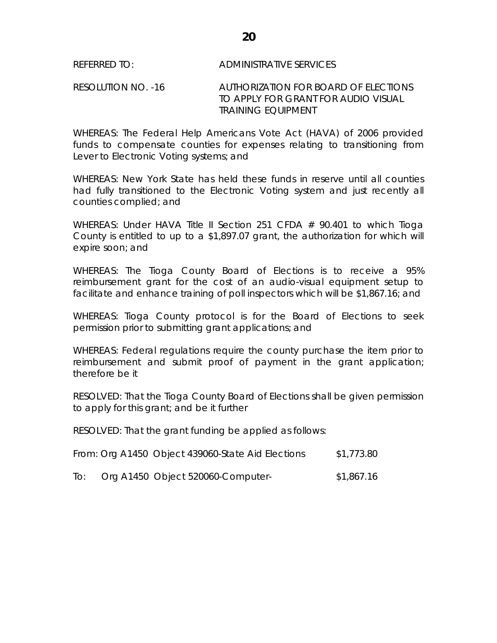RESOLUTION NO. -16 AUTHORIZATION FOR BOARD OF ELECTIONS TO APPLY FOR GRANT FOR AUDIO VISUAL TRAINING EQUIPMENT

WHEREAS: The Federal Help Americans Vote Act (HAVA) of 2006 provided funds to compensate counties for expenses relating to transitioning from Lever to Electronic Voting systems; and

WHEREAS: New York State has held these funds in reserve until all counties had fully transitioned to the Electronic Voting system and just recently all counties complied; and

WHEREAS: Under HAVA Title II Section 251 CFDA  $#$  90.401 to which Tioga County is entitled to up to a \$1,897.07 grant, the authorization for which will expire soon; and

WHEREAS: The Tioga County Board of Elections is to receive a 95% reimbursement grant for the cost of an audio-visual equipment setup to facilitate and enhance training of poll inspectors which will be \$1,867.16; and

WHEREAS: Tioga County protocol is for the Board of Elections to seek permission prior to submitting grant applications; and

WHEREAS: Federal regulations require the county purchase the item prior to reimbursement and submit proof of payment in the grant application; therefore be it

RESOLVED: That the Tioga County Board of Elections shall be given permission to apply for this grant; and be it further

RESOLVED: That the grant funding be applied as follows:

|  | From: Org A1450 Object 439060-State Aid Elections | \$1,773.80 |
|--|---------------------------------------------------|------------|
|--|---------------------------------------------------|------------|

| To: |  | Org A1450 Object 520060-Computer- | \$1,867.16 |
|-----|--|-----------------------------------|------------|
|-----|--|-----------------------------------|------------|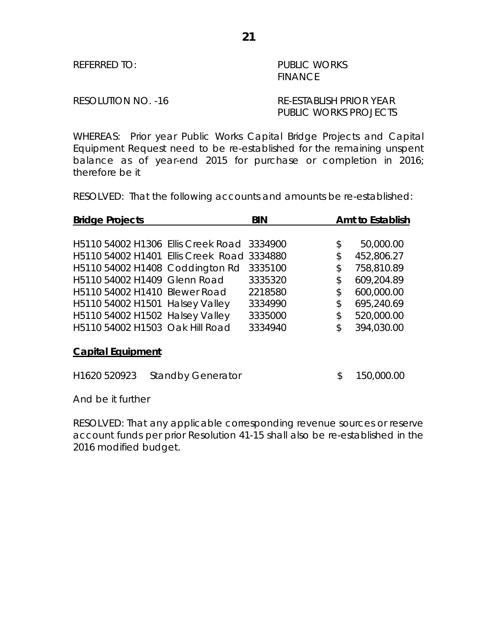REFERRED TO: PUBLIC WORKS FINANCE

## RESOLUTION NO. -16 RE-ESTABLISH PRIOR YEAR PUBLIC WORKS PROJECTS

WHEREAS: Prior year Public Works Capital Bridge Projects and Capital Equipment Request need to be re-established for the remaining unspent balance as of year-end 2015 for purchase or completion in 2016; therefore be it

RESOLVED: That the following accounts and amounts be re-established:

| <b>Bridge Projects</b>                     |                          | <b>BIN</b> |    | Amt to Establish |
|--------------------------------------------|--------------------------|------------|----|------------------|
|                                            |                          |            |    |                  |
| H5110 54002 H1306 Ellis Creek Road         |                          | 3334900    | \$ | 50,000.00        |
| H5110 54002 H1401 Ellis Creek Road 3334880 |                          |            | \$ | 452,806.27       |
| H5110 54002 H1408 Coddington Rd            |                          | 3335100    | \$ | 758,810.89       |
| H5110 54002 H1409 Glenn Road               |                          | 3335320    | \$ | 609,204.89       |
| H5110 54002 H1410 Blewer Road              |                          | 2218580    | \$ | 600,000.00       |
| H5110 54002 H1501 Halsey Valley            |                          | 3334990    | \$ | 695,240.69       |
| H5110 54002 H1502 Halsey Valley            |                          | 3335000    | \$ | 520,000.00       |
| H5110 54002 H1503 Oak Hill Road            |                          | 3334940    | \$ | 394,030.00       |
| <b>Capital Equipment</b>                   |                          |            |    |                  |
| H <sub>1620</sub> 520923                   | <b>Standby Generator</b> |            | \$ | 150,000.00       |

And be it further

RESOLVED: That any applicable corresponding revenue sources or reserve account funds per prior Resolution 41-15 shall also be re-established in the 2016 modified budget.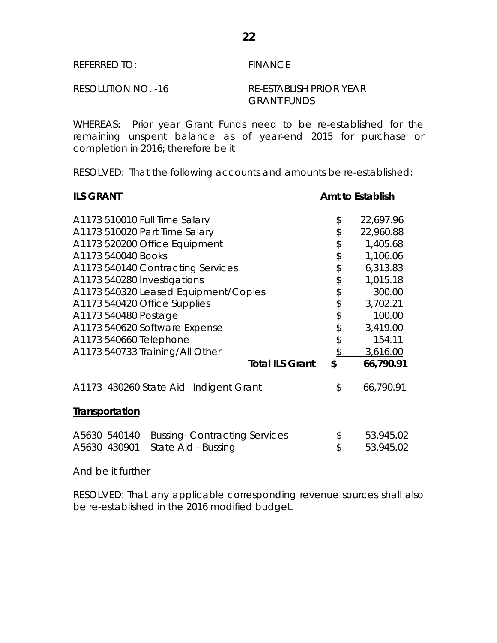## REFERRED TO: FINANCE

#### RESOLUTION NO. -16 RE-ESTABLISH PRIOR YEAR GRANT FUNDS

WHEREAS: Prior year Grant Funds need to be re-established for the remaining unspent balance as of year-end 2015 for purchase or completion in 2016; therefore be it

RESOLVED: That the following accounts and amounts be re-established:

| <b>ILS GRANT</b>                                    |               | <b>Amt to Establish</b> |
|-----------------------------------------------------|---------------|-------------------------|
|                                                     |               |                         |
| A1173 510010 Full Time Salary                       | \$            | 22,697.96               |
| A1173 510020 Part Time Salary                       | \$            | 22,960.88               |
| A1173 520200 Office Equipment                       | \$            | 1,405.68                |
| A1173 540040 Books                                  | \$            | 1,106.06                |
| A1173 540140 Contracting Services                   | \$            | 6,313.83                |
| A1173 540280 Investigations                         | \$            | 1,015.18                |
| A1173 540320 Leased Equipment/Copies                | \$            | 300.00                  |
| A1173 540420 Office Supplies                        | \$            | 3,702.21                |
| A1173 540480 Postage                                | \$            | 100.00                  |
| A1173 540620 Software Expense                       | \$            | 3,419.00                |
| A1173 540660 Telephone                              | \$            | 154.11                  |
| A1173 540733 Training/All Other                     | $\frac{1}{2}$ | 3,616.00                |
| <b>Total ILS Grant</b>                              | \$            | 66,790.91               |
| A1173 430260 State Aid -Indigent Grant              | \$            | 66,790.91               |
| <b>Transportation</b>                               |               |                         |
| <b>Bussing-Contracting Services</b><br>A5630 540140 | \$            | 53,945.02               |
| A5630 430901<br>State Aid - Bussing                 | \$            | 53,945.02               |
|                                                     |               |                         |

And be it further

RESOLVED: That any applicable corresponding revenue sources shall also be re-established in the 2016 modified budget.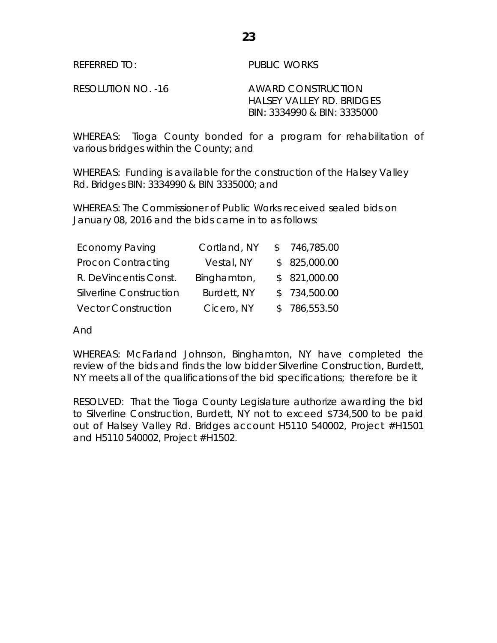REFERRED TO: PUBLIC WORKS

RESOLUTION NO. -16 AWARD CONSTRUCTION HALSEY VALLEY RD. BRIDGES BIN: 3334990 & BIN: 3335000

WHEREAS: Tioga County bonded for a program for rehabilitation of various bridges within the County; and

WHEREAS: Funding is available for the construction of the Halsey Valley Rd. Bridges BIN: 3334990 & BIN 3335000; and

WHEREAS: The Commissioner of Public Works received sealed bids on January 08, 2016 and the bids came in to as follows:

| <b>Economy Paving</b>          | Cortland, NY | \$746,785.00 |
|--------------------------------|--------------|--------------|
| Procon Contracting             | Vestal, NY   | \$825,000.00 |
| R. DeVincentis Const.          | Binghamton,  | \$821,000.00 |
| <b>Silverline Construction</b> | Burdett, NY  | \$734,500.00 |
| <b>Vector Construction</b>     | Cicero, NY   | \$786,553.50 |

And

WHEREAS: McFarland Johnson, Binghamton, NY have completed the review of the bids and finds the low bidder Silverline Construction, Burdett, NY meets all of the qualifications of the bid specifications; therefore be it

RESOLVED: That the Tioga County Legislature authorize awarding the bid to Silverline Construction, Burdett, NY not to exceed \$734,500 to be paid out of Halsey Valley Rd. Bridges account H5110 540002, Project #H1501 and H5110 540002, Project #H1502.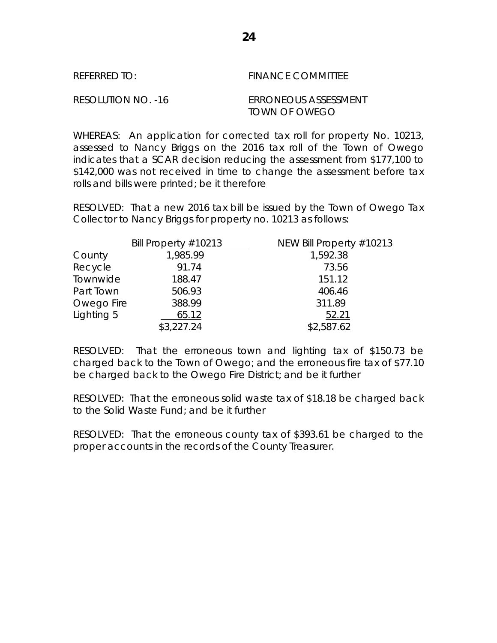| REFERRED TO:       | <b>FINANCE COMMITTEE</b>              |
|--------------------|---------------------------------------|
| RESOLUTION NO. -16 | ERRONEOUS ASSESSMENT<br>TOWN OF OWEGO |

WHEREAS: An application for corrected tax roll for property No. 10213, assessed to Nancy Briggs on the 2016 tax roll of the Town of Owego indicates that a SCAR decision reducing the assessment from \$177,100 to \$142,000 was not received in time to change the assessment before tax rolls and bills were printed; be it therefore

RESOLVED: That a new 2016 tax bill be issued by the Town of Owego Tax Collector to Nancy Briggs for property no. 10213 as follows:

|            | Bill Property $\#10213$ | NEW Bill Property #10213 |
|------------|-------------------------|--------------------------|
| County     | 1,985.99                | 1,592.38                 |
| Recycle    | 91.74                   | 73.56                    |
| Townwide   | 188.47                  | 151.12                   |
| Part Town  | 506.93                  | 406.46                   |
| Owego Fire | 388.99                  | 311.89                   |
| Lighting 5 | 65.12                   | 52.21                    |
|            | \$3,227.24              | \$2,587.62               |

RESOLVED: That the erroneous town and lighting tax of \$150.73 be charged back to the Town of Owego; and the erroneous fire tax of \$77.10 be charged back to the Owego Fire District; and be it further

RESOLVED: That the erroneous solid waste tax of \$18.18 be charged back to the Solid Waste Fund; and be it further

RESOLVED: That the erroneous county tax of \$393.61 be charged to the proper accounts in the records of the County Treasurer.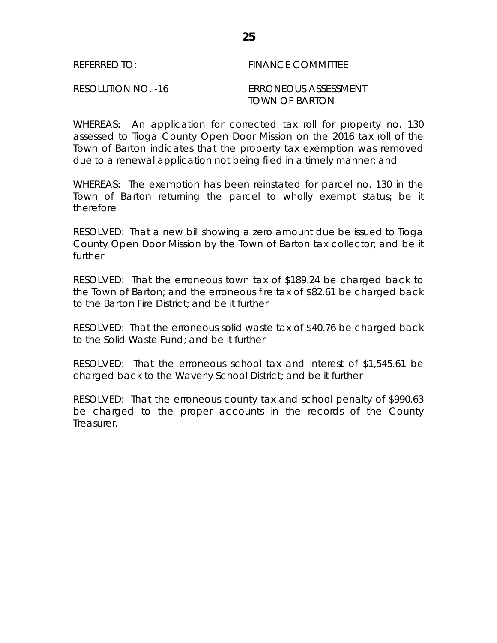## REFERRED TO: The Second Second Second Second Second Second Second Second Second Second Second Second Second Se

RESOLUTION NO. -16 ERRONEOUS ASSESSMENT TOWN OF BARTON

WHEREAS: An application for corrected tax roll for property no. 130 assessed to Tioga County Open Door Mission on the 2016 tax roll of the Town of Barton indicates that the property tax exemption was removed due to a renewal application not being filed in a timely manner; and

WHEREAS: The exemption has been reinstated for parcel no. 130 in the Town of Barton returning the parcel to wholly exempt status; be it therefore

RESOLVED: That a new bill showing a zero amount due be issued to Tioga County Open Door Mission by the Town of Barton tax collector; and be it further

RESOLVED: That the erroneous town tax of \$189.24 be charged back to the Town of Barton; and the erroneous fire tax of \$82.61 be charged back to the Barton Fire District; and be it further

RESOLVED: That the erroneous solid waste tax of \$40.76 be charged back to the Solid Waste Fund; and be it further

RESOLVED: That the erroneous school tax and interest of \$1,545.61 be charged back to the Waverly School District; and be it further

RESOLVED: That the erroneous county tax and school penalty of \$990.63 be charged to the proper accounts in the records of the County Treasurer.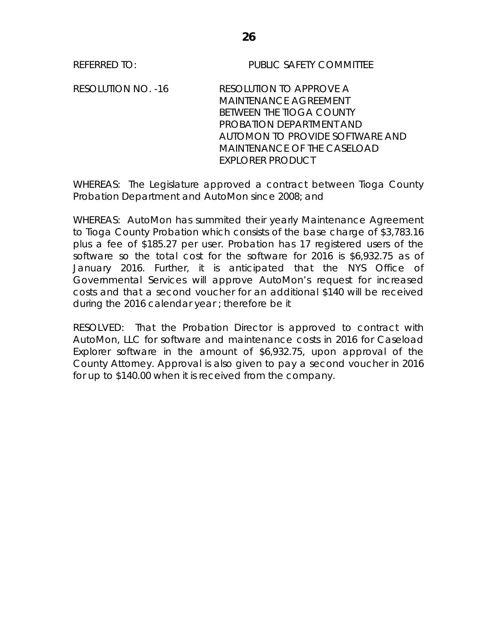REFERRED TO: PUBLIC SAFETY COMMITTEE

RESOLUTION NO. -16 RESOLUTION TO APPROVE A MAINTENANCE AGREEMENT BETWEEN THE TIOGA COUNTY PROBATION DEPARTMENT AND AUTOMON TO PROVIDE SOFTWARE AND MAINTENANCE OF THE CASELOAD EXPLORER PRODUCT

WHEREAS: The Legislature approved a contract between Tioga County Probation Department and AutoMon since 2008; and

WHEREAS: AutoMon has summited their yearly Maintenance Agreement to Tioga County Probation which consists of the base charge of \$3,783.16 plus a fee of \$185.27 per user. Probation has 17 registered users of the software so the total cost for the software for 2016 is \$6,932.75 as of January 2016. Further, it is anticipated that the NYS Office of Governmental Services will approve AutoMon's request for increased costs and that a second voucher for an additional \$140 will be received during the 2016 calendar year ; therefore be it

RESOLVED: That the Probation Director is approved to contract with AutoMon, LLC for software and maintenance costs in 2016 for Caseload Explorer software in the amount of \$6,932.75, upon approval of the County Attorney. Approval is also given to pay a second voucher in 2016 for up to \$140.00 when it is received from the company.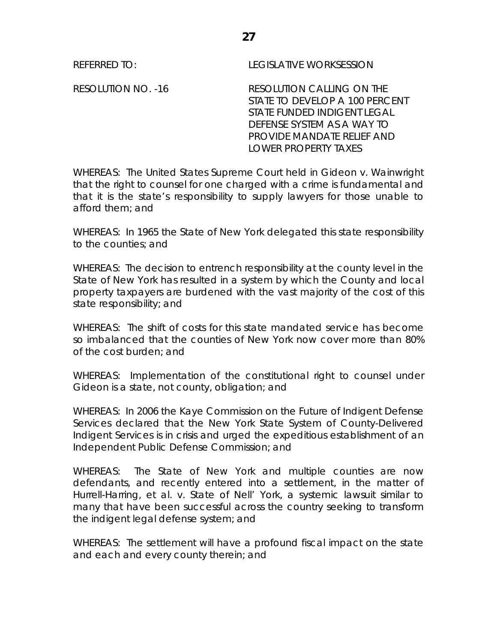REFERRED TO: LEGISLATIVE WORKSESSION

RESOLUTION NO. -16 RESOLUTION CALLING ON THE STATE TO DEVELOP A 100 PERCENT STATE FUNDED INDIGENT LEGAL DEFENSE SYSTEM AS A WAY TO PROVIDE MANDATE RELIEF AND LOWER PROPERTY TAXES

WHEREAS: The United States Supreme Court held in Gideon v. Wainwright that the right to counsel for one charged with a crime is fundamental and that it is the state's responsibility to supply lawyers for those unable to afford them; and

WHEREAS: In 1965 the State of New York delegated this state responsibility to the counties; and

WHEREAS: The decision to entrench responsibility at the county level in the State of New York has resulted in a system by which the County and local property taxpayers are burdened with the vast majority of the cost of this state responsibility; and

WHEREAS: The shift of costs for this state mandated service has become so imbalanced that the counties of New York now cover more than 80% of the cost burden; and

WHEREAS: Implementation of the constitutional right to counsel under Gideon is a state, not county, obligation; and

WHEREAS: In 2006 the Kaye Commission on the Future of Indigent Defense Services declared that the New York State System of County-Delivered Indigent Services is in crisis and urged the expeditious establishment of an Independent Public Defense Commission; and

WHEREAS: The State of New York and multiple counties are now defendants, and recently entered into a settlement, in the matter of Hurrell-Harring, et al. v. State of Nell' York, a systemic lawsuit similar to many that have been successful across the country seeking to transform the indigent legal defense system; and

WHEREAS: The settlement will have a profound fiscal impact on the state and each and every county therein; and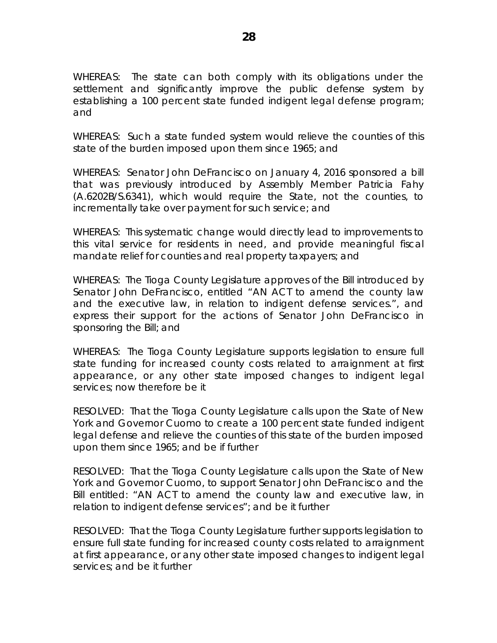WHEREAS: The state can both comply with its obligations under the settlement and significantly improve the public defense system by establishing a 100 percent state funded indigent legal defense program; and

WHEREAS: Such a state funded system would relieve the counties of this state of the burden imposed upon them since 1965; and

WHEREAS: Senator John DeFrancisco on January 4, 2016 sponsored a bill that was previously introduced by Assembly Member Patricia Fahy (A.6202B/S.6341), which would require the State, not the counties, to incrementally take over payment for such service; and

WHEREAS: This systematic change would directly lead to improvements to this vital service for residents in need, and provide meaningful fiscal mandate relief for counties and real property taxpayers; and

WHEREAS: The Tioga County Legislature approves of the Bill introduced by Senator John DeFrancisco, entitled "AN ACT to amend the county law and the executive law, in relation to indigent defense services.", and express their support for the actions of Senator John DeFrancisco in sponsoring the Bill; and

WHEREAS: The Tioga County Legislature supports legislation to ensure full state funding for increased county costs related to arraignment at first appearance, or any other state imposed changes to indigent legal services; now therefore be it

RESOLVED: That the Tioga County Legislature calls upon the State of New York and Governor Cuomo to create a 100 percent state funded indigent legal defense and relieve the counties of this state of the burden imposed upon them since 1965; and be if further

RESOLVED: That the Tioga County Legislature calls upon the State of New York and Governor Cuomo, to support Senator John DeFrancisco and the Bill entitled: "AN ACT to amend the county law and executive law, in relation to indigent defense services"; and be it further

RESOLVED: That the Tioga County Legislature further supports legislation to ensure full state funding for increased county costs related to arraignment at first appearance, or any other state imposed changes to indigent legal services; and be it further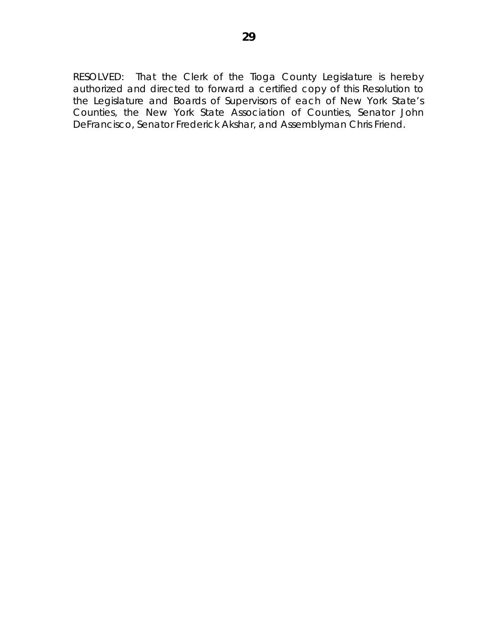RESOLVED: That the Clerk of the Tioga County Legislature is hereby authorized and directed to forward a certified copy of this Resolution to the Legislature and Boards of Supervisors of each of New York State's Counties, the New York State Association of Counties, Senator John DeFrancisco, Senator Frederick Akshar, and Assemblyman Chris Friend.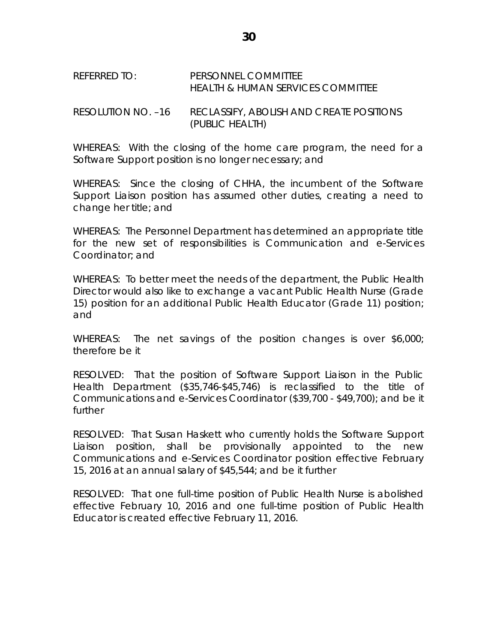#### REFERRED TO: PERSONNEL COMMITTEE HEALTH & HUMAN SERVICES COMMITTEE

RESOLUTION NO. –16 RECLASSIFY, ABOLISH AND CREATE POSITIONS (PUBLIC HEALTH)

WHEREAS: With the closing of the home care program, the need for a Software Support position is no longer necessary; and

WHEREAS: Since the closing of CHHA, the incumbent of the Software Support Liaison position has assumed other duties, creating a need to change her title; and

WHEREAS: The Personnel Department has determined an appropriate title for the new set of responsibilities is Communication and e-Services Coordinator; and

WHEREAS: To better meet the needs of the department, the Public Health Director would also like to exchange a vacant Public Health Nurse (Grade 15) position for an additional Public Health Educator (Grade 11) position; and

WHEREAS: The net savings of the position changes is over \$6,000; therefore be it

RESOLVED: That the position of Software Support Liaison in the Public Health Department (\$35,746-\$45,746) is reclassified to the title of Communications and e-Services Coordinator (\$39,700 - \$49,700); and be it further

RESOLVED: That Susan Haskett who currently holds the Software Support Liaison position, shall be provisionally appointed to the new Communications and e-Services Coordinator position effective February 15, 2016 at an annual salary of \$45,544; and be it further

RESOLVED: That one full-time position of Public Health Nurse is abolished effective February 10, 2016 and one full-time position of Public Health Educator is created effective February 11, 2016.